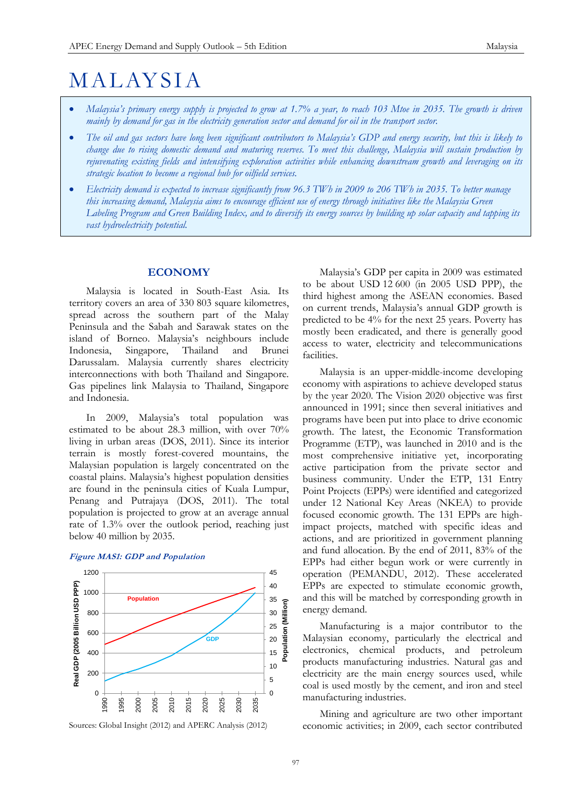# M AL AYS I A

- *Malaysia's primary energy supply is projected to grow at 1.7% a year, to reach 103 Mtoe in 2035. The growth is driven mainly by demand for gas in the electricity generation sector and demand for oil in the transport sector.*
- *The oil and gas sectors have long been significant contributors to Malaysia's GDP and energy security, but this is likely to change due to rising domestic demand and maturing reserves. To meet this challenge, Malaysia will sustain production by rejuvenating existing fields and intensifying exploration activities while enhancing downstream growth and leveraging on its strategic location to become a regional hub for oilfield services.*
- *Electricity demand is expected to increase significantly from 96.3 TWh in 2009 to 206 TWh in 2035. To better manage this increasing demand, Malaysia aims to encourage efficient use of energy through initiatives like the Malaysia Green Labeling Program and Green Building Index, and to diversify its energy sources by building up solar capacity and tapping its vast hydroelectricity potential.*

# **ECONOMY**

Malaysia is located in South-East Asia. Its territory covers an area of 330 803 square kilometres, spread across the southern part of the Malay Peninsula and the Sabah and Sarawak states on the island of Borneo. Malaysia's neighbours include Indonesia, Singapore, Thailand and Brunei Darussalam. Malaysia currently shares electricity interconnections with both Thailand and Singapore. Gas pipelines link Malaysia to Thailand, Singapore and Indonesia.

In 2009, Malaysia's total population was estimated to be about 28.3 million, with over 70% living in urban areas (DOS, 2011). Since its interior terrain is mostly forest-covered mountains, the Malaysian population is largely concentrated on the coastal plains. Malaysia's highest population densities are found in the peninsula cities of Kuala Lumpur, Penang and Putrajaya (DOS, 2011). The total population is projected to grow at an average annual rate of 1.3% over the outlook period, reaching just below 40 million by 2035.

#### **Figure MAS1: GDP and Population**



Sources: Global Insight (2012) and APERC Analysis (2012)

Malaysia's GDP per capita in 2009 was estimated to be about USD 12 600 (in 2005 USD PPP), the third highest among the ASEAN economies. Based on current trends, Malaysia's annual GDP growth is predicted to be 4% for the next 25 years. Poverty has mostly been eradicated, and there is generally good access to water, electricity and telecommunications facilities.

Malaysia is an upper-middle-income developing economy with aspirations to achieve developed status by the year 2020. The Vision 2020 objective was first announced in 1991; since then several initiatives and programs have been put into place to drive economic growth. The latest, the Economic Transformation Programme (ETP), was launched in 2010 and is the most comprehensive initiative yet, incorporating active participation from the private sector and business community. Under the ETP, 131 Entry Point Projects (EPPs) were identified and categorized under 12 National Key Areas (NKEA) to provide focused economic growth. The 131 EPPs are highimpact projects, matched with specific ideas and actions, and are prioritized in government planning and fund allocation. By the end of 2011, 83% of the EPPs had either begun work or were currently in operation (PEMANDU, 2012). These accelerated EPPs are expected to stimulate economic growth, and this will be matched by corresponding growth in energy demand.

Manufacturing is a major contributor to the Malaysian economy, particularly the electrical and electronics, chemical products, and petroleum products manufacturing industries. Natural gas and electricity are the main energy sources used, while coal is used mostly by the cement, and iron and steel manufacturing industries.

Mining and agriculture are two other important economic activities; in 2009, each sector contributed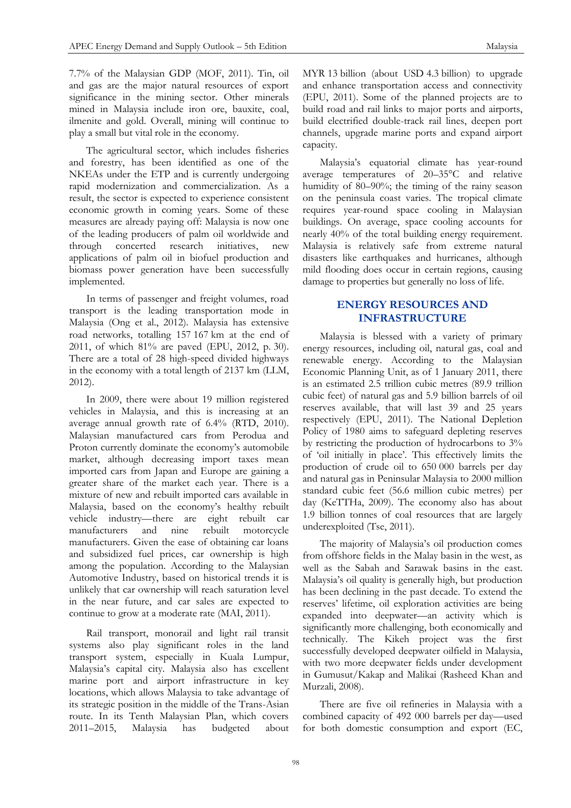7.7% of the Malaysian GDP (MOF, 2011). Tin, oil and gas are the major natural resources of export significance in the mining sector. Other minerals mined in Malaysia include iron ore, bauxite, coal, ilmenite and gold. Overall, mining will continue to play a small but vital role in the economy.

The agricultural sector, which includes fisheries and forestry, has been identified as one of the NKEAs under the ETP and is currently undergoing rapid modernization and commercialization. As a result, the sector is expected to experience consistent economic growth in coming years. Some of these measures are already paying off: Malaysia is now one of the leading producers of palm oil worldwide and through concerted research initiatives, new applications of palm oil in biofuel production and biomass power generation have been successfully implemented.

In terms of passenger and freight volumes, road transport is the leading transportation mode in Malaysia (Ong et al., 2012). Malaysia has extensive road networks, totalling 157 167 km at the end of 2011, of which 81% are paved (EPU, 2012, p. 30). There are a total of 28 high-speed divided highways in the economy with a total length of 2137 km (LLM, 2012).

In 2009, there were about 19 million registered vehicles in Malaysia, and this is increasing at an average annual growth rate of 6.4% (RTD, 2010). Malaysian manufactured cars from Perodua and Proton currently dominate the economy's automobile market, although decreasing import taxes mean imported cars from Japan and Europe are gaining a greater share of the market each year. There is a mixture of new and rebuilt imported cars available in Malaysia, based on the economy's healthy rebuilt vehicle industry—there are eight rebuilt car manufacturers and nine rebuilt motorcycle manufacturers. Given the ease of obtaining car loans and subsidized fuel prices, car ownership is high among the population. According to the Malaysian Automotive Industry, based on historical trends it is unlikely that car ownership will reach saturation level in the near future, and car sales are expected to continue to grow at a moderate rate (MAI, 2011).

Rail transport, monorail and light rail transit systems also play significant roles in the land transport system, especially in Kuala Lumpur, Malaysia's capital city. Malaysia also has excellent marine port and airport infrastructure in key locations, which allows Malaysia to take advantage of its strategic position in the middle of the Trans-Asian route. In its Tenth Malaysian Plan, which covers 2011–2015, Malaysia has budgeted about

MYR 13 billion (about USD 4.3 billion) to upgrade and enhance transportation access and connectivity (EPU, 2011). Some of the planned projects are to build road and rail links to major ports and airports, build electrified double-track rail lines, deepen port channels, upgrade marine ports and expand airport capacity.

Malaysia's equatorial climate has year-round average temperatures of 20–35°C and relative humidity of 80–90%; the timing of the rainy season on the peninsula coast varies. The tropical climate requires year-round space cooling in Malaysian buildings. On average, space cooling accounts for nearly 40% of the total building energy requirement. Malaysia is relatively safe from extreme natural disasters like earthquakes and hurricanes, although mild flooding does occur in certain regions, causing damage to properties but generally no loss of life.

# **ENERGY RESOURCES AND INFRASTRUCTURE**

Malaysia is blessed with a variety of primary energy resources, including oil, natural gas, coal and renewable energy. According to the Malaysian Economic Planning Unit, as of 1 January 2011, there is an estimated 2.5 trillion cubic metres (89.9 trillion cubic feet) of natural gas and 5.9 billion barrels of oil reserves available, that will last 39 and 25 years respectively (EPU, 2011). The National Depletion Policy of 1980 aims to safeguard depleting reserves by restricting the production of hydrocarbons to 3% of 'oil initially in place'. This effectively limits the production of crude oil to 650 000 barrels per day and natural gas in Peninsular Malaysia to 2000 million standard cubic feet (56.6 million cubic metres) per day (KeTTHa, 2009). The economy also has about 1.9 billion tonnes of coal resources that are largely underexploited (Tse, 2011).

The majority of Malaysia's oil production comes from offshore fields in the Malay basin in the west, as well as the Sabah and Sarawak basins in the east. Malaysia's oil quality is generally high, but production has been declining in the past decade. To extend the reserves' lifetime, oil exploration activities are being expanded into deepwater—an activity which is significantly more challenging, both economically and technically. The Kikeh project was the first successfully developed deepwater oilfield in Malaysia, with two more deepwater fields under development in Gumusut/Kakap and Malikai (Rasheed Khan and Murzali, 2008).

There are five oil refineries in Malaysia with a combined capacity of 492 000 barrels per day—used for both domestic consumption and export (EC,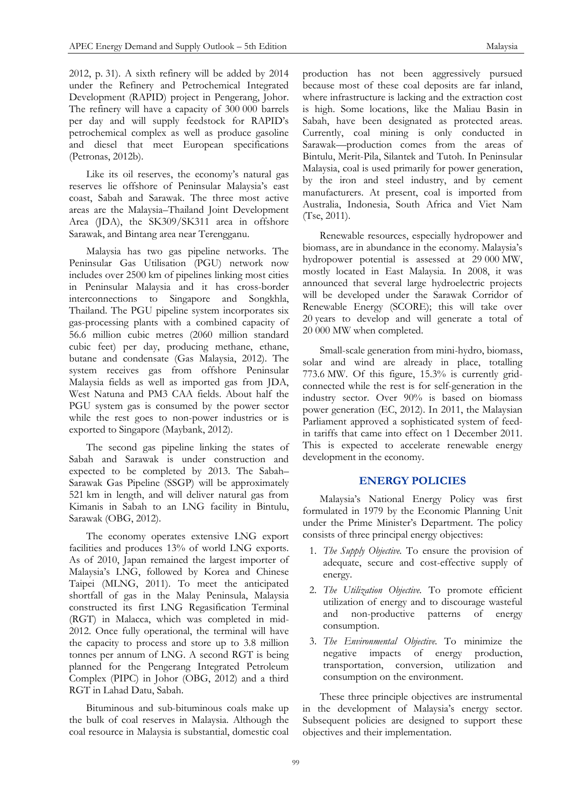2012, p. 31). A sixth refinery will be added by 2014 under the Refinery and Petrochemical Integrated Development (RAPID) project in Pengerang, Johor. The refinery will have a capacity of 300 000 barrels per day and will supply feedstock for RAPID's petrochemical complex as well as produce gasoline and diesel that meet European specifications (Petronas, 2012b).

Like its oil reserves, the economy's natural gas reserves lie offshore of Peninsular Malaysia's east coast, Sabah and Sarawak. The three most active areas are the Malaysia–Thailand Joint Development Area (JDA), the SK309/SK311 area in offshore Sarawak, and Bintang area near Terengganu.

Malaysia has two gas pipeline networks. The Peninsular Gas Utilisation (PGU) network now includes over 2500 km of pipelines linking most cities in Peninsular Malaysia and it has cross-border interconnections to Singapore and Songkhla, Thailand. The PGU pipeline system incorporates six gas-processing plants with a combined capacity of 56.6 million cubic metres (2060 million standard cubic feet) per day, producing methane, ethane, butane and condensate (Gas Malaysia, 2012). The system receives gas from offshore Peninsular Malaysia fields as well as imported gas from JDA, West Natuna and PM3 CAA fields. About half the PGU system gas is consumed by the power sector while the rest goes to non-power industries or is exported to Singapore (Maybank, 2012).

The second gas pipeline linking the states of Sabah and Sarawak is under construction and expected to be completed by 2013. The Sabah– Sarawak Gas Pipeline (SSGP) will be approximately 521 km in length, and will deliver natural gas from Kimanis in Sabah to an LNG facility in Bintulu, Sarawak (OBG, 2012).

The economy operates extensive LNG export facilities and produces 13% of world LNG exports. As of 2010, Japan remained the largest importer of Malaysia's LNG, followed by Korea and Chinese Taipei (MLNG, 2011). To meet the anticipated shortfall of gas in the Malay Peninsula, Malaysia constructed its first LNG Regasification Terminal (RGT) in Malacca, which was completed in mid-2012. Once fully operational, the terminal will have the capacity to process and store up to 3.8 million tonnes per annum of LNG. A second RGT is being planned for the Pengerang Integrated Petroleum Complex (PIPC) in Johor (OBG, 2012) and a third RGT in Lahad Datu, Sabah.

Bituminous and sub-bituminous coals make up the bulk of coal reserves in Malaysia. Although the coal resource in Malaysia is substantial, domestic coal

production has not been aggressively pursued because most of these coal deposits are far inland, where infrastructure is lacking and the extraction cost is high. Some locations, like the Maliau Basin in Sabah, have been designated as protected areas. Currently, coal mining is only conducted in Sarawak—production comes from the areas of Bintulu, Merit-Pila, Silantek and Tutoh. In Peninsular Malaysia, coal is used primarily for power generation, by the iron and steel industry, and by cement manufacturers. At present, coal is imported from Australia, Indonesia, South Africa and Viet Nam (Tse, 2011).

Renewable resources, especially hydropower and biomass, are in abundance in the economy. Malaysia's hydropower potential is assessed at 29 000 MW, mostly located in East Malaysia. In 2008, it was announced that several large hydroelectric projects will be developed under the Sarawak Corridor of Renewable Energy (SCORE); this will take over 20 years to develop and will generate a total of 20 000 MW when completed.

Small-scale generation from mini-hydro, biomass, solar and wind are already in place, totalling 773.6 MW. Of this figure, 15.3% is currently gridconnected while the rest is for self-generation in the industry sector. Over 90% is based on biomass power generation (EC, 2012). In 2011, the Malaysian Parliament approved a sophisticated system of feedin tariffs that came into effect on 1 December 2011. This is expected to accelerate renewable energy development in the economy.

# **ENERGY POLICIES**

Malaysia's National Energy Policy was first formulated in 1979 by the Economic Planning Unit under the Prime Minister's Department. The policy consists of three principal energy objectives:

- 1. *The Supply Objective.* To ensure the provision of adequate, secure and cost-effective supply of energy.
- 2. *The Utilization Objective.* To promote efficient utilization of energy and to discourage wasteful and non-productive patterns of energy consumption.
- 3. *The Environmental Objective.* To minimize the negative impacts of energy production, transportation, conversion, utilization and consumption on the environment.

These three principle objectives are instrumental in the development of Malaysia's energy sector. Subsequent policies are designed to support these objectives and their implementation.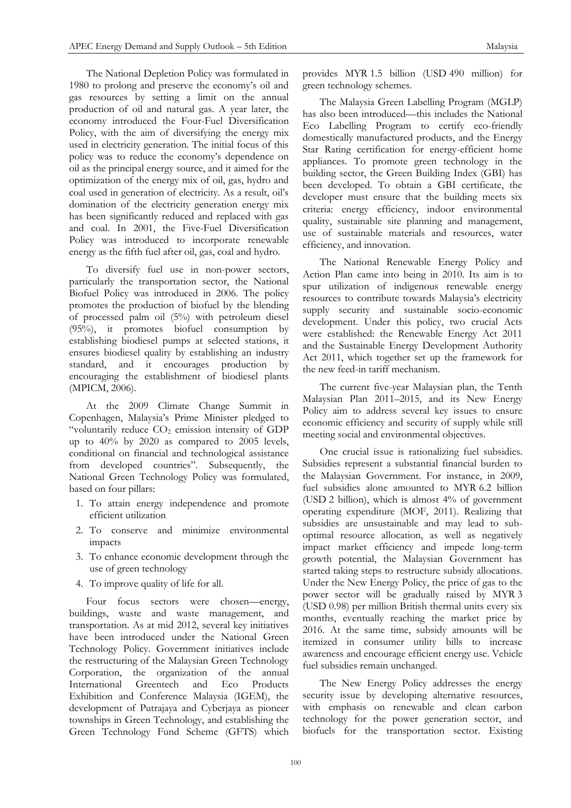The National Depletion Policy was formulated in 1980 to prolong and preserve the economy's oil and gas resources by setting a limit on the annual production of oil and natural gas. A year later, the economy introduced the Four-Fuel Diversification Policy, with the aim of diversifying the energy mix used in electricity generation. The initial focus of this policy was to reduce the economy's dependence on oil as the principal energy source, and it aimed for the optimization of the energy mix of oil, gas, hydro and coal used in generation of electricity. As a result, oil's domination of the electricity generation energy mix has been significantly reduced and replaced with gas and coal. In 2001, the Five-Fuel Diversification Policy was introduced to incorporate renewable energy as the fifth fuel after oil, gas, coal and hydro.

To diversify fuel use in non-power sectors, particularly the transportation sector, the National Biofuel Policy was introduced in 2006. The policy promotes the production of biofuel by the blending of processed palm oil (5%) with petroleum diesel (95%), it promotes biofuel consumption by establishing biodiesel pumps at selected stations, it ensures biodiesel quality by establishing an industry standard, and it encourages production by encouraging the establishment of biodiesel plants (MPICM, 2006).

At the 2009 Climate Change Summit in Copenhagen, Malaysia's Prime Minister pledged to "voluntarily reduce  $CO<sub>2</sub>$  emission intensity of GDP up to 40% by 2020 as compared to 2005 levels, conditional on financial and technological assistance from developed countries". Subsequently, the National Green Technology Policy was formulated, based on four pillars:

- 1. To attain energy independence and promote efficient utilization
- 2. To conserve and minimize environmental impacts
- 3. To enhance economic development through the use of green technology
- 4. To improve quality of life for all.

Four focus sectors were chosen—energy, buildings, waste and waste management, and transportation. As at mid 2012, several key initiatives have been introduced under the National Green Technology Policy. Government initiatives include the restructuring of the Malaysian Green Technology Corporation, the organization of the annual International Greentech and Eco Products Exhibition and Conference Malaysia (IGEM), the development of Putrajaya and Cyberjaya as pioneer townships in Green Technology, and establishing the Green Technology Fund Scheme (GFTS) which

provides MYR 1.5 billion (USD 490 million) for green technology schemes.

The Malaysia Green Labelling Program (MGLP) has also been introduced—this includes the National Eco Labelling Program to certify eco-friendly domestically manufactured products, and the Energy Star Rating certification for energy-efficient home appliances. To promote green technology in the building sector, the Green Building Index (GBI) has been developed. To obtain a GBI certificate, the developer must ensure that the building meets six criteria: energy efficiency, indoor environmental quality, sustainable site planning and management, use of sustainable materials and resources, water efficiency, and innovation.

The National Renewable Energy Policy and Action Plan came into being in 2010. Its aim is to spur utilization of indigenous renewable energy resources to contribute towards Malaysia's electricity supply security and sustainable socio-economic development. Under this policy, two crucial Acts were established: the Renewable Energy Act 2011 and the Sustainable Energy Development Authority Act 2011, which together set up the framework for the new feed-in tariff mechanism.

The current five-year Malaysian plan, the Tenth Malaysian Plan 2011–2015, and its New Energy Policy aim to address several key issues to ensure economic efficiency and security of supply while still meeting social and environmental objectives.

One crucial issue is rationalizing fuel subsidies. Subsidies represent a substantial financial burden to the Malaysian Government. For instance, in 2009, fuel subsidies alone amounted to MYR 6.2 billion (USD 2 billion), which is almost 4% of government operating expenditure (MOF, 2011). Realizing that subsidies are unsustainable and may lead to suboptimal resource allocation, as well as negatively impact market efficiency and impede long-term growth potential, the Malaysian Government has started taking steps to restructure subsidy allocations. Under the New Energy Policy, the price of gas to the power sector will be gradually raised by MYR 3 (USD 0.98) per million British thermal units every six months, eventually reaching the market price by 2016. At the same time, subsidy amounts will be itemized in consumer utility bills to increase awareness and encourage efficient energy use. Vehicle fuel subsidies remain unchanged.

The New Energy Policy addresses the energy security issue by developing alternative resources, with emphasis on renewable and clean carbon technology for the power generation sector, and biofuels for the transportation sector. Existing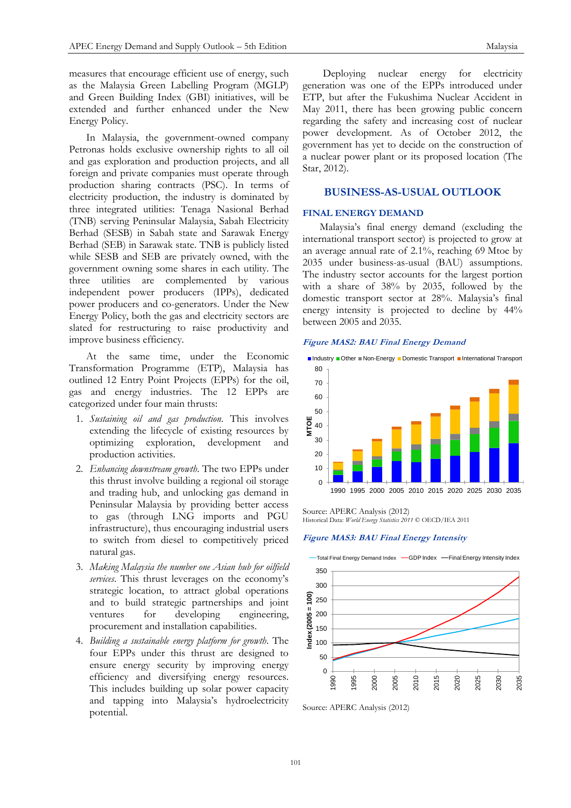measures that encourage efficient use of energy, such as the Malaysia Green Labelling Program (MGLP) and Green Building Index (GBI) initiatives, will be extended and further enhanced under the New Energy Policy.

In Malaysia, the government-owned company Petronas holds exclusive ownership rights to all oil and gas exploration and production projects, and all foreign and private companies must operate through production sharing contracts (PSC). In terms of electricity production, the industry is dominated by three integrated utilities: Tenaga Nasional Berhad (TNB) serving Peninsular Malaysia, Sabah Electricity Berhad (SESB) in Sabah state and Sarawak Energy Berhad (SEB) in Sarawak state. TNB is publicly listed while SESB and SEB are privately owned, with the government owning some shares in each utility. The three utilities are complemented by various independent power producers (IPPs), dedicated power producers and co-generators. Under the New Energy Policy, both the gas and electricity sectors are slated for restructuring to raise productivity and improve business efficiency.

At the same time, under the Economic Transformation Programme (ETP), Malaysia has outlined 12 Entry Point Projects (EPPs) for the oil, gas and energy industries. The 12 EPPs are categorized under four main thrusts:

- 1. *Sustaining oil and gas production*. This involves extending the lifecycle of existing resources by optimizing exploration, development and production activities.
- 2. *Enhancing downstream growth*. The two EPPs under this thrust involve building a regional oil storage and trading hub, and unlocking gas demand in Peninsular Malaysia by providing better access to gas (through LNG imports and PGU infrastructure), thus encouraging industrial users to switch from diesel to competitively priced natural gas.
- 3. *Making Malaysia the number one Asian hub for oilfield services*. This thrust leverages on the economy's strategic location, to attract global operations and to build strategic partnerships and joint ventures for developing engineering, procurement and installation capabilities.
- 4. *Building a sustainable energy platform for growth*. The four EPPs under this thrust are designed to ensure energy security by improving energy efficiency and diversifying energy resources. This includes building up solar power capacity and tapping into Malaysia's hydroelectricity potential.

Deploying nuclear energy for electricity generation was one of the EPPs introduced under ETP, but after the Fukushima Nuclear Accident in May 2011, there has been growing public concern regarding the safety and increasing cost of nuclear power development. As of October 2012, the government has yet to decide on the construction of a nuclear power plant or its proposed location (The Star, 2012).

# **BUSINESS-AS-USUAL OUTLOOK**

#### **FINAL ENERGY DEMAND**

Malaysia's final energy demand (excluding the international transport sector) is projected to grow at an average annual rate of 2.1%, reaching 69 Mtoe by 2035 under business-as-usual (BAU) assumptions. The industry sector accounts for the largest portion with a share of 38% by 2035, followed by the domestic transport sector at 28%. Malaysia's final energy intensity is projected to decline by 44% between 2005 and 2035.

### **Figure MAS2: BAU Final Energy Demand**



Source: APERC Analysis (2012) Historical Data: *World Energy Statistics 2011* © OECD/IEA 2011

#### **Figure MAS3: BAU Final Energy Intensity**



Source: APERC Analysis (2012)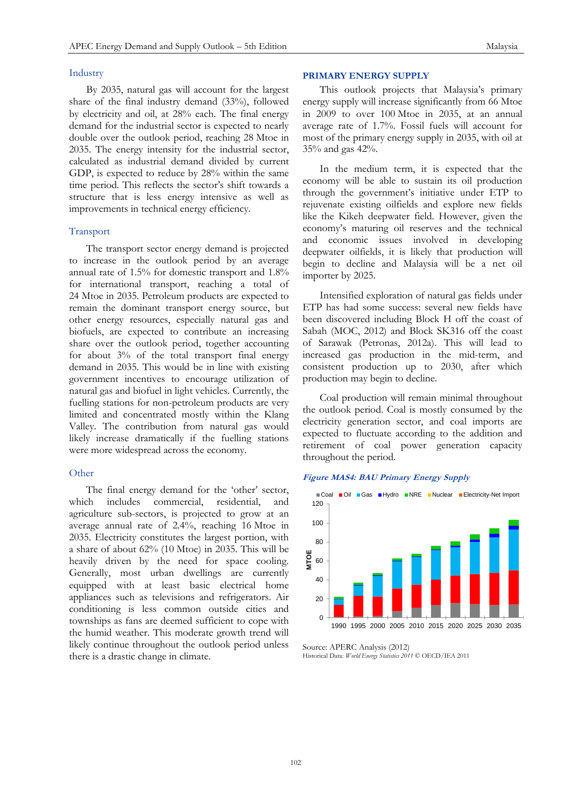### Industry

By 2035, natural gas will account for the largest share of the final industry demand (33%), followed by electricity and oil, at 28% each. The final energy demand for the industrial sector is expected to nearly double over the outlook period, reaching 28 Mtoe in 2035. The energy intensity for the industrial sector, calculated as industrial demand divided by current GDP, is expected to reduce by 28% within the same time period. This reflects the sector's shift towards a structure that is less energy intensive as well as improvements in technical energy efficiency.

#### Transport

The transport sector energy demand is projected to increase in the outlook period by an average annual rate of 1.5% for domestic transport and 1.8% for international transport, reaching a total of 24 Mtoe in 2035. Petroleum products are expected to remain the dominant transport energy source, but other energy resources, especially natural gas and biofuels, are expected to contribute an increasing share over the outlook period, together accounting for about 3% of the total transport final energy demand in 2035. This would be in line with existing government incentives to encourage utilization of natural gas and biofuel in light vehicles. Currently, the fuelling stations for non-petroleum products are very limited and concentrated mostly within the Klang Valley. The contribution from natural gas would likely increase dramatically if the fuelling stations were more widespread across the economy.

#### Other

The final energy demand for the 'other' sector, which includes commercial, residential, and agriculture sub-sectors, is projected to grow at an average annual rate of 2.4%, reaching 16 Mtoe in 2035. Electricity constitutes the largest portion, with a share of about 62% (10 Mtoe) in 2035. This will be heavily driven by the need for space cooling. Generally, most urban dwellings are currently equipped with at least basic electrical home appliances such as televisions and refrigerators. Air conditioning is less common outside cities and townships as fans are deemed sufficient to cope with the humid weather. This moderate growth trend will likely continue throughout the outlook period unless there is a drastic change in climate.

#### **PRIMARY ENERGY SUPPLY**

This outlook projects that Malaysia's primary energy supply will increase significantly from 66 Mtoe in 2009 to over 100 Mtoe in 2035, at an annual average rate of 1.7%. Fossil fuels will account for most of the primary energy supply in 2035, with oil at 35% and gas 42%.

In the medium term, it is expected that the economy will be able to sustain its oil production through the government's initiative under ETP to rejuvenate existing oilfields and explore new fields like the Kikeh deepwater field. However, given the economy's maturing oil reserves and the technical and economic issues involved in developing deepwater oilfields, it is likely that production will begin to decline and Malaysia will be a net oil importer by 2025.

Intensified exploration of natural gas fields under ETP has had some success: several new fields have been discovered including Block H off the coast of Sabah (MOC, 2012) and Block SK316 off the coast of Sarawak (Petronas, 2012a). This will lead to increased gas production in the mid-term, and consistent production up to 2030, after which production may begin to decline.

Coal production will remain minimal throughout the outlook period. Coal is mostly consumed by the electricity generation sector, and coal imports are expected to fluctuate according to the addition and retirement of coal power generation capacity throughout the period.

## **Figure MAS4: BAU Primary Energy Supply**



Source: APERC Analysis (2012) Historical Data: *World Energy Statistics 2011* © OECD/IEA 2011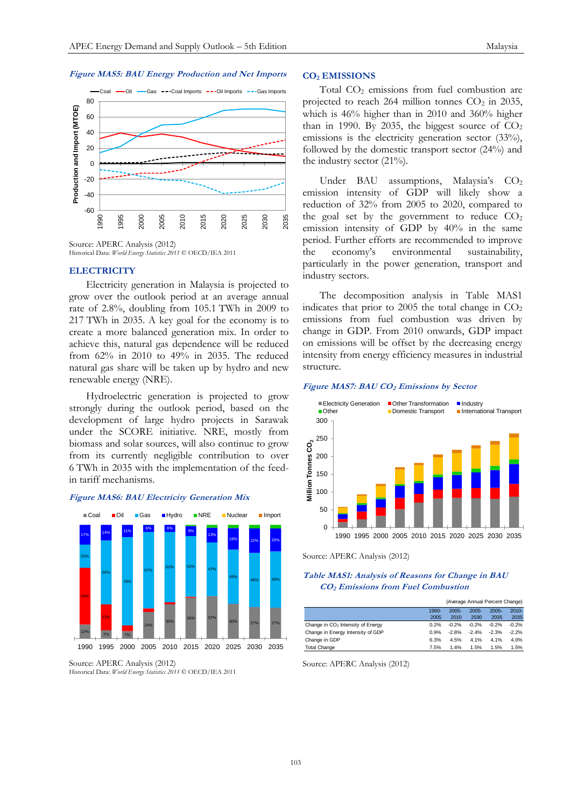#### **Figure MAS5: BAU Energy Production and Net Imports**



Source: APERC Analysis (2012) Historical Data: *World Energy Statistics 2011* © OECD/IEA 2011

#### **ELECTRICITY**

Electricity generation in Malaysia is projected to grow over the outlook period at an average annual rate of 2.8%, doubling from 105.1 TWh in 2009 to 217 TWh in 2035. A key goal for the economy is to create a more balanced generation mix. In order to achieve this, natural gas dependence will be reduced from 62% in 2010 to 49% in 2035. The reduced natural gas share will be taken up by hydro and new renewable energy (NRE).

Hydroelectric generation is projected to grow strongly during the outlook period, based on the development of large hydro projects in Sarawak under the SCORE initiative. NRE, mostly from biomass and solar sources, will also continue to grow from its currently negligible contribution to over 6 TWh in 2035 with the implementation of the feedin tariff mechanisms.

#### **Figure MAS6: BAU Electricity Generation Mix**



Source: APERC Analysis (2012) Historical Data: *World Energy Statistics 2011* © OECD/IEA 2011

# **CO<sup>2</sup> EMISSIONS**

Total  $CO<sub>2</sub>$  emissions from fuel combustion are projected to reach 264 million tonnes  $CO<sub>2</sub>$  in 2035, which is 46% higher than in 2010 and 360% higher than in 1990. By 2035, the biggest source of  $CO<sub>2</sub>$ emissions is the electricity generation sector (33%), followed by the domestic transport sector (24%) and the industry sector  $(21\%)$ .

Under BAU assumptions, Malaysia's CO<sub>2</sub> emission intensity of GDP will likely show a reduction of 32% from 2005 to 2020, compared to the goal set by the government to reduce  $CO<sub>2</sub>$ emission intensity of GDP by 40% in the same period. Further efforts are recommended to improve the economy's environmental sustainability, particularly in the power generation, transport and industry sectors.

The decomposition analysis in Table MAS1 indicates that prior to 2005 the total change in  $CO<sub>2</sub>$ emissions from fuel combustion was driven by change in GDP. From 2010 onwards, GDP impact on emissions will be offset by the decreasing energy intensity from energy efficiency measures in industrial structure.

#### **Figure MAS7: BAU CO<sup>2</sup> Emissions by Sector**



Source: APERC Analysis (2012)

### **Table MAS1: Analysis of Reasons for Change in BAU CO2 Emissions from Fuel Combustion**

|                                               |          | (Average Annual Percent Change) |          |          |          |
|-----------------------------------------------|----------|---------------------------------|----------|----------|----------|
|                                               | $1990 -$ | $2005 -$                        | $2005 -$ | $2005 -$ | $2010 -$ |
|                                               | 2005     | 2010                            | 2030     | 2035     | 2035     |
| Change in CO <sub>2</sub> Intensity of Energy | 0.2%     | $-0.2%$                         | $-0.2%$  | $-0.2%$  | $-0.2%$  |
| Change in Energy Intensity of GDP             | 0.9%     | $-2.8%$                         | $-2.4%$  | $-2.3%$  | $-2.2%$  |
| Change in GDP                                 | 6.3%     | 4.5%                            | 4.1%     | 4.1%     | 4.0%     |
| <b>Total Change</b>                           | 7.5%     | 1.4%                            | 1.5%     | 1.5%     | 1.5%     |

Source: APERC Analysis (2012)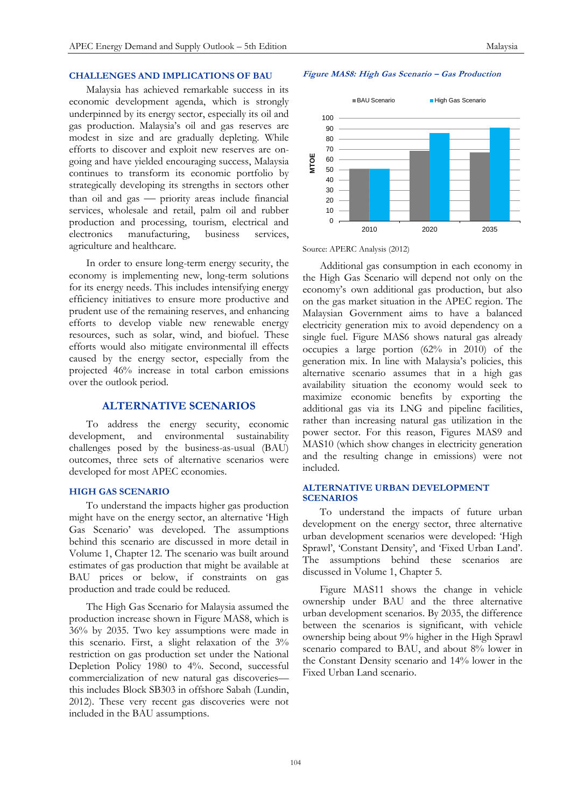#### **CHALLENGES AND IMPLICATIONS OF BAU Figure MAS8: High Gas Scenario – Gas Production**

Malaysia has achieved remarkable success in its economic development agenda, which is strongly underpinned by its energy sector, especially its oil and gas production. Malaysia's oil and gas reserves are modest in size and are gradually depleting. While efforts to discover and exploit new reserves are ongoing and have yielded encouraging success, Malaysia continues to transform its economic portfolio by strategically developing its strengths in sectors other than oil and gas - priority areas include financial services, wholesale and retail, palm oil and rubber production and processing, tourism, electrical and electronics manufacturing, business services, agriculture and healthcare.

In order to ensure long-term energy security, the economy is implementing new, long-term solutions for its energy needs. This includes intensifying energy efficiency initiatives to ensure more productive and prudent use of the remaining reserves, and enhancing efforts to develop viable new renewable energy resources, such as solar, wind, and biofuel. These efforts would also mitigate environmental ill effects caused by the energy sector, especially from the projected 46% increase in total carbon emissions over the outlook period.

# **ALTERNATIVE SCENARIOS**

To address the energy security, economic development, and environmental sustainability challenges posed by the business-as-usual (BAU) outcomes, three sets of alternative scenarios were developed for most APEC economies.

#### **HIGH GAS SCENARIO**

To understand the impacts higher gas production might have on the energy sector, an alternative 'High Gas Scenario' was developed. The assumptions behind this scenario are discussed in more detail in Volume 1, Chapter 12. The scenario was built around estimates of gas production that might be available at BAU prices or below, if constraints on gas production and trade could be reduced.

The High Gas Scenario for Malaysia assumed the production increase shown in Figure MAS8, which is 36% by 2035. Two key assumptions were made in this scenario. First, a slight relaxation of the 3% restriction on gas production set under the National Depletion Policy 1980 to 4%. Second, successful commercialization of new natural gas discoveries this includes Block SB303 in offshore Sabah (Lundin, 2012). These very recent gas discoveries were not included in the BAU assumptions.



Source: APERC Analysis (2012)

Additional gas consumption in each economy in the High Gas Scenario will depend not only on the economy's own additional gas production, but also on the gas market situation in the APEC region. The Malaysian Government aims to have a balanced electricity generation mix to avoid dependency on a single fuel. Figure MAS6 shows natural gas already occupies a large portion (62% in 2010) of the generation mix. In line with Malaysia's policies, this alternative scenario assumes that in a high gas availability situation the economy would seek to maximize economic benefits by exporting the additional gas via its LNG and pipeline facilities, rather than increasing natural gas utilization in the power sector. For this reason, Figures MAS9 and MAS10 (which show changes in electricity generation and the resulting change in emissions) were not included.

# **ALTERNATIVE URBAN DEVELOPMENT SCENARIOS**

To understand the impacts of future urban development on the energy sector, three alternative urban development scenarios were developed: 'High Sprawl', 'Constant Density', and 'Fixed Urban Land'. The assumptions behind these scenarios are discussed in Volume 1, Chapter 5.

Figure MAS11 shows the change in vehicle ownership under BAU and the three alternative urban development scenarios. By 2035, the difference between the scenarios is significant, with vehicle ownership being about 9% higher in the High Sprawl scenario compared to BAU, and about 8% lower in the Constant Density scenario and 14% lower in the Fixed Urban Land scenario.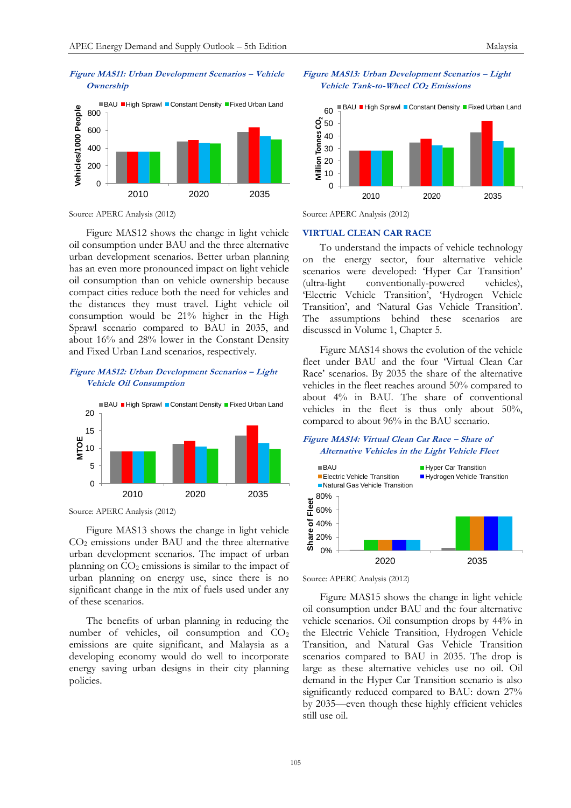

Source: APERC Analysis (2012)

Figure MAS12 shows the change in light vehicle oil consumption under BAU and the three alternative urban development scenarios. Better urban planning has an even more pronounced impact on light vehicle oil consumption than on vehicle ownership because compact cities reduce both the need for vehicles and the distances they must travel. Light vehicle oil consumption would be 21% higher in the High Sprawl scenario compared to BAU in 2035, and about 16% and 28% lower in the Constant Density and Fixed Urban Land scenarios, respectively.

# **Figure MAS12: Urban Development Scenarios – Light Vehicle Oil Consumption**



Source: APERC Analysis (2012)

Figure MAS13 shows the change in light vehicle CO<sup>2</sup> emissions under BAU and the three alternative urban development scenarios. The impact of urban planning on  $CO<sub>2</sub>$  emissions is similar to the impact of urban planning on energy use, since there is no significant change in the mix of fuels used under any of these scenarios.

The benefits of urban planning in reducing the number of vehicles, oil consumption and  $CO<sub>2</sub>$ emissions are quite significant, and Malaysia as a developing economy would do well to incorporate energy saving urban designs in their city planning policies.

#### **Figure MAS13: Urban Development Scenarios – Light Vehicle Tank-to-Wheel CO2 Emissions**



Source: APERC Analysis (2012)

#### **VIRTUAL CLEAN CAR RACE**

To understand the impacts of vehicle technology on the energy sector, four alternative vehicle scenarios were developed: 'Hyper Car Transition' (ultra-light conventionally-powered vehicles), 'Electric Vehicle Transition', 'Hydrogen Vehicle Transition', and 'Natural Gas Vehicle Transition'. The assumptions behind these scenarios are discussed in Volume 1, Chapter 5.

Figure MAS14 shows the evolution of the vehicle fleet under BAU and the four 'Virtual Clean Car Race' scenarios. By 2035 the share of the alternative vehicles in the fleet reaches around 50% compared to about 4% in BAU. The share of conventional vehicles in the fleet is thus only about 50%, compared to about 96% in the BAU scenario.





Source: APERC Analysis (2012)

Figure MAS15 shows the change in light vehicle oil consumption under BAU and the four alternative vehicle scenarios. Oil consumption drops by 44% in the Electric Vehicle Transition, Hydrogen Vehicle Transition, and Natural Gas Vehicle Transition scenarios compared to BAU in 2035. The drop is large as these alternative vehicles use no oil. Oil demand in the Hyper Car Transition scenario is also significantly reduced compared to BAU: down 27% by 2035—even though these highly efficient vehicles still use oil.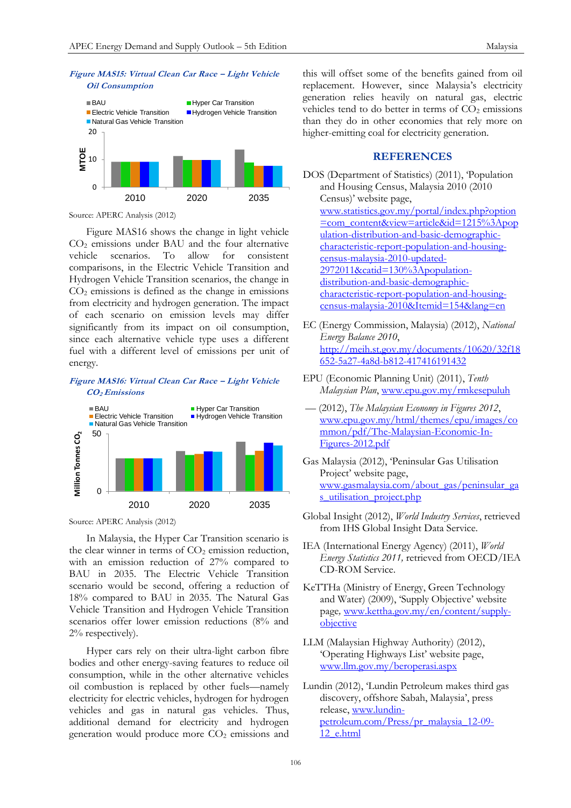



Source: APERC Analysis (2012)

Figure MAS16 shows the change in light vehicle CO<sup>2</sup> emissions under BAU and the four alternative vehicle scenarios. To allow for consistent comparisons, in the Electric Vehicle Transition and Hydrogen Vehicle Transition scenarios, the change in  $CO<sub>2</sub>$  emissions is defined as the change in emissions from electricity and hydrogen generation. The impact of each scenario on emission levels may differ significantly from its impact on oil consumption, since each alternative vehicle type uses a different fuel with a different level of emissions per unit of energy.

**Figure MAS16: Virtual Clean Car Race – Light Vehicle CO2 Emissions**



Source: APERC Analysis (2012)

In Malaysia, the Hyper Car Transition scenario is the clear winner in terms of  $CO<sub>2</sub>$  emission reduction, with an emission reduction of 27% compared to BAU in 2035. The Electric Vehicle Transition scenario would be second, offering a reduction of 18% compared to BAU in 2035. The Natural Gas Vehicle Transition and Hydrogen Vehicle Transition scenarios offer lower emission reductions (8% and 2% respectively).

Hyper cars rely on their ultra-light carbon fibre bodies and other energy-saving features to reduce oil consumption, while in the other alternative vehicles oil combustion is replaced by other fuels—namely electricity for electric vehicles, hydrogen for hydrogen vehicles and gas in natural gas vehicles. Thus, additional demand for electricity and hydrogen generation would produce more  $CO<sub>2</sub>$  emissions and

this will offset some of the benefits gained from oil replacement. However, since Malaysia's electricity generation relies heavily on natural gas, electric vehicles tend to do better in terms of  $CO<sub>2</sub>$  emissions than they do in other economies that rely more on higher-emitting coal for electricity generation.

# **REFERENCES**

```
DOS (Department of Statistics) (2011), 'Population 
and Housing Census, Malaysia 2010 (2010 
Census)' website page, 
www.statistics.gov.my/portal/index.php?option
=com_content&view=article&id=1215%3Apop
ulation-distribution-and-basic-demographic-
characteristic-report-population-and-housing-
census-malaysia-2010-updated-
2972011&catid=130%3Apopulation-
distribution-and-basic-demographic-
characteristic-report-population-and-housing-
census-malaysia-2010&Itemid=154&lang=en
```
- EC (Energy Commission, Malaysia) (2012), *National Energy Balance 2010*, [http://meih.st.gov.my/documents/10620/32f18](http://meih.st.gov.my/documents/10620/32f18652-5a27-4a8d-b812-417416191432) [652-5a27-4a8d-b812-417416191432](http://meih.st.gov.my/documents/10620/32f18652-5a27-4a8d-b812-417416191432)
- EPU (Economic Planning Unit) (2011), *Tenth Malaysian Plan*, [www.epu.gov.my/rmkesepuluh](http://www.epu.gov.my/rmkesepuluh)
- –– (2012), *The Malaysian Economy in Figures 2012*, [www.epu.gov.my/html/themes/epu/images/co](http://www.epu.gov.my/html/themes/epu/images/common/pdf/The-Malaysian-Economic-In-Figures-2012.pdf) [mmon/pdf/The-Malaysian-Economic-In-](http://www.epu.gov.my/html/themes/epu/images/common/pdf/The-Malaysian-Economic-In-Figures-2012.pdf)[Figures-2012.pdf](http://www.epu.gov.my/html/themes/epu/images/common/pdf/The-Malaysian-Economic-In-Figures-2012.pdf)
- Gas Malaysia (2012), 'Peninsular Gas Utilisation Project' website page, [www.gasmalaysia.com/about\\_gas/peninsular\\_ga](http://www.gasmalaysia.com/about_gas/peninsular_gas_utilisation_project.php) [s\\_utilisation\\_project.php](http://www.gasmalaysia.com/about_gas/peninsular_gas_utilisation_project.php)
- Global Insight (2012), *World Industry Services*, retrieved from IHS Global Insight Data Service.
- IEA (International Energy Agency) (2011), *World Energy Statistics 2011,* retrieved from OECD/IEA CD-ROM Service.
- KeTTHa (Ministry of Energy, Green Technology and Water) (2009), 'Supply Objective' website page*,* [www.kettha.gov.my/en/content/supply](http://www.kettha.gov.my/en/content/supply-objective)[objective](http://www.kettha.gov.my/en/content/supply-objective)
- LLM (Malaysian Highway Authority) (2012), 'Operating Highways List' website page, [www.llm.gov.my/beroperasi.aspx](http://www.llm.gov.my/beroperasi.aspx)
- Lundin (2012), 'Lundin Petroleum makes third gas discovery, offshore Sabah, Malaysia', press release, [www.lundin](http://www.lundin-petroleum.com/Press/pr_malaysia_12-09-12_e.html)[petroleum.com/Press/pr\\_malaysia\\_12-09-](http://www.lundin-petroleum.com/Press/pr_malaysia_12-09-12_e.html) [12\\_e.html](http://www.lundin-petroleum.com/Press/pr_malaysia_12-09-12_e.html)